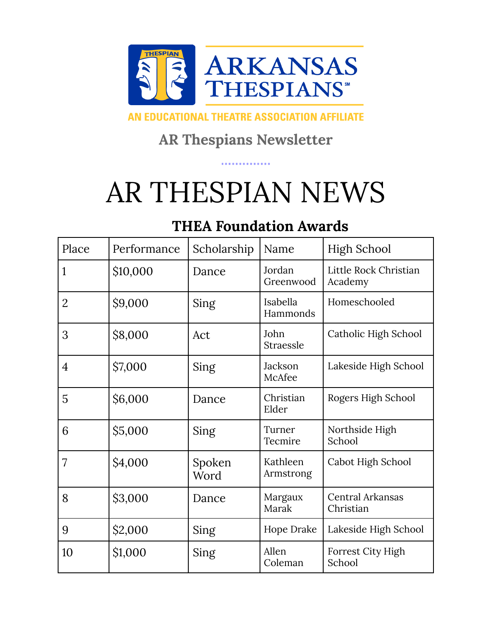

#### AN EDUCATIONAL THEATRE ASSOCIATION AFFILIATE

#### **AR Thespians Newsletter**

# AR THESPIAN NEWS

#### **THEA Foundation Awards**

| Place          | Performance | Scholarship    | Name                  | High School                          |
|----------------|-------------|----------------|-----------------------|--------------------------------------|
| 1              | \$10,000    | Dance          | Jordan<br>Greenwood   | Little Rock Christian<br>Academy     |
| $\overline{2}$ | \$9,000     | Sing           | Isabella<br>Hammonds  | Homeschooled                         |
| 3              | \$8,000     | Act            | John<br>Straessle     | Catholic High School                 |
| $\overline{4}$ | \$7,000     | Sing           | Jackson<br>McAfee     | Lakeside High School                 |
| 5              | \$6,000     | Dance          | Christian<br>Elder    | Rogers High School                   |
| 6              | \$5,000     | Sing           | Turner<br>Tecmire     | Northside High<br>School             |
| 7              | \$4,000     | Spoken<br>Word | Kathleen<br>Armstrong | Cabot High School                    |
| 8              | \$3,000     | Dance          | Margaux<br>Marak      | <b>Central Arkansas</b><br>Christian |
| 9              | \$2,000     | Sing           | Hope Drake            | Lakeside High School                 |
| 10             | \$1,000     | Sing           | Allen<br>Coleman      | Forrest City High<br>School          |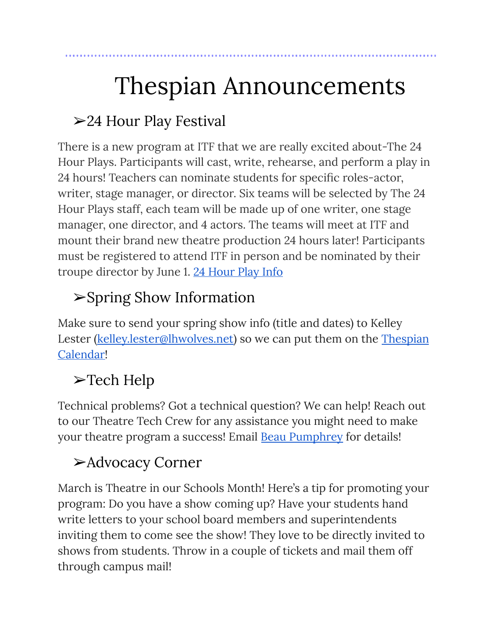# Thespian Announcements

### ➢24 Hour Play Festival

There is a new program at ITF that we are really excited about-The 24 Hour Plays. Participants will cast, write, rehearse, and perform a play in 24 hours! Teachers can nominate students for specific roles-actor, writer, stage manager, or director. Six teams will be selected by The 24 Hour Plays staff, each team will be made up of one writer, one stage manager, one director, and 4 actors. The teams will meet at ITF and mount their brand new theatre production 24 hours later! Participants must be registered to attend ITF in person and be nominated by their troupe director by June 1. 24 [Hour](https://itf.schooltheatre.org/24_hour_plays_guide.cfm) Play Info

### ➢Spring Show Information

Make sure to send your spring show info (title and dates) to Kelley Lester [\(kelley.lester@lhwolves.net\)](mailto:kelley.lester@lhwolves.net) so we can put them on the [Thespian](https://calendar.google.com/calendar/u/0/embed?src=64aelndchnkfqooqdiup1kl04k@group.calendar.google.com&ctz=America/Chicago) [Calendar!](https://calendar.google.com/calendar/u/0/embed?src=64aelndchnkfqooqdiup1kl04k@group.calendar.google.com&ctz=America/Chicago)

## ➢Tech Help

Technical problems? Got a technical question? We can help! Reach out to our Theatre Tech Crew for any assistance you might need to make your theatre program a success! Email **Beau [Pumphrey](mailto:bpumphre@fortsmithschools.org)** for details!

### ➢Advocacy Corner

March is Theatre in our Schools Month! Here's a tip for promoting your program: Do you have a show coming up? Have your students hand write letters to your school board members and superintendents inviting them to come see the show! They love to be directly invited to shows from students. Throw in a couple of tickets and mail them off through campus mail!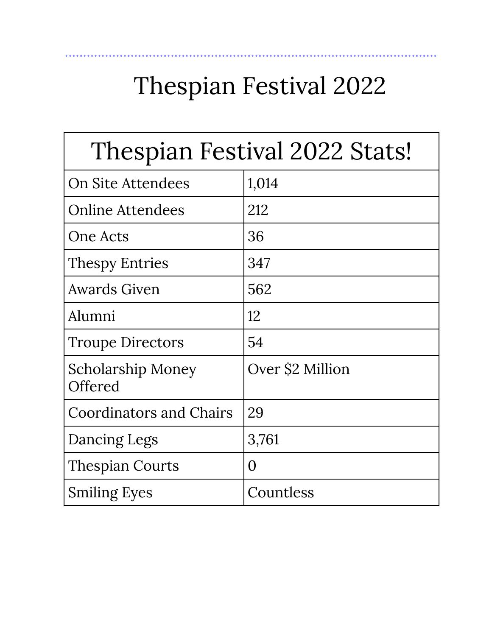# Thespian Festival 2022

..............

| Thespian Festival 2022 Stats!       |                  |  |  |  |
|-------------------------------------|------------------|--|--|--|
| On Site Attendees                   | 1,014            |  |  |  |
| <b>Online Attendees</b>             | 212              |  |  |  |
| One Acts                            | 36               |  |  |  |
| <b>Thespy Entries</b>               | 347              |  |  |  |
| <b>Awards Given</b>                 | 562              |  |  |  |
| Alumni                              | 12               |  |  |  |
| <b>Troupe Directors</b>             | 54               |  |  |  |
| <b>Scholarship Money</b><br>Offered | Over \$2 Million |  |  |  |
| <b>Coordinators and Chairs</b>      | 29               |  |  |  |
| Dancing Legs                        | 3,761            |  |  |  |
| <b>Thespian Courts</b>              | 0                |  |  |  |
| <b>Smiling Eyes</b>                 | Countless        |  |  |  |